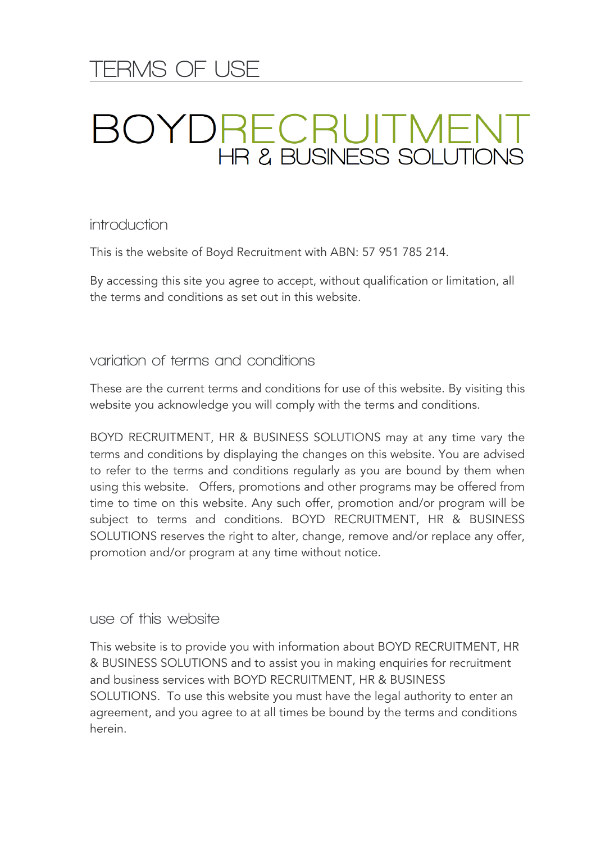# **TERMS OF USE**

# **BOYDRECRUITMENT**<br>HR & BUSINESS SOLUTIONS

**introduction**

This is the website of Boyd Recruitment with ABN: 57 951 785 214.

By accessing this site you agree to accept, without qualification or limitation, all the terms and conditions as set out in this website.

**variation of terms and conditions** 

These are the current terms and conditions for use of this website. By visiting this website you acknowledge you will comply with the terms and conditions.

BOYD RECRUITMENT, HR & BUSINESS SOLUTIONS may at any time vary the terms and conditions by displaying the changes on this website. You are advised to refer to the terms and conditions regularly as you are bound by them when using this website. Offers, promotions and other programs may be offered from time to time on this website. Any such offer, promotion and/or program will be subject to terms and conditions. BOYD RECRUITMENT, HR & BUSINESS SOLUTIONS reserves the right to alter, change, remove and/or replace any offer, promotion and/or program at any time without notice.

**use of this website** 

This website is to provide you with information about BOYD RECRUITMENT, HR & BUSINESS SOLUTIONS and to assist you in making enquiries for recruitment and business services with BOYD RECRUITMENT, HR & BUSINESS SOLUTIONS. To use this website you must have the legal authority to enter an agreement, and you agree to at all times be bound by the terms and conditions herein.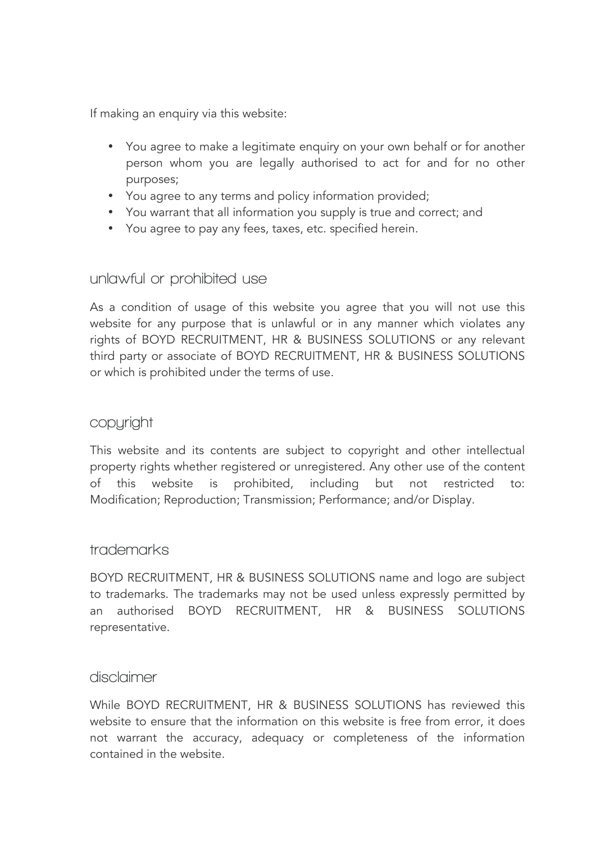If making an enquiry via this website:

- You agree to make a legitimate enquiry on your own behalf or for another person whom you are legally authorised to act for and for no other purposes;
- You agree to any terms and policy information provided;
- You warrant that all information you supply is true and correct; and
- You agree to pay any fees, taxes, etc. specified herein.

#### **unlawful or prohibited use**

As a condition of usage of this website you agree that you will not use this website for any purpose that is unlawful or in any manner which violates any rights of BOYD RECRUITMENT, HR & BUSINESS SOLUTIONS or any relevant third party or associate of BOYD RECRUITMENT, HR & BUSINESS SOLUTIONS or which is prohibited under the terms of use.

### **copyright**

This website and its contents are subject to copyright and other intellectual property rights whether registered or unregistered. Any other use of the content of this website is prohibited, including but not restricted to: Modification; Reproduction; Transmission; Performance; and/or Display.

#### **trademarks**

BOYD RECRUITMENT, HR & BUSINESS SOLUTIONS name and logo are subject to trademarks. The trademarks may not be used unless expressly permitted by an authorised BOYD RECRUITMENT, HR & BUSINESS SOLUTIONS representative.

#### **disclaimer**

While BOYD RECRUITMENT, HR & BUSINESS SOLUTIONS has reviewed this website to ensure that the information on this website is free from error, it does not warrant the accuracy, adequacy or completeness of the information contained in the website.